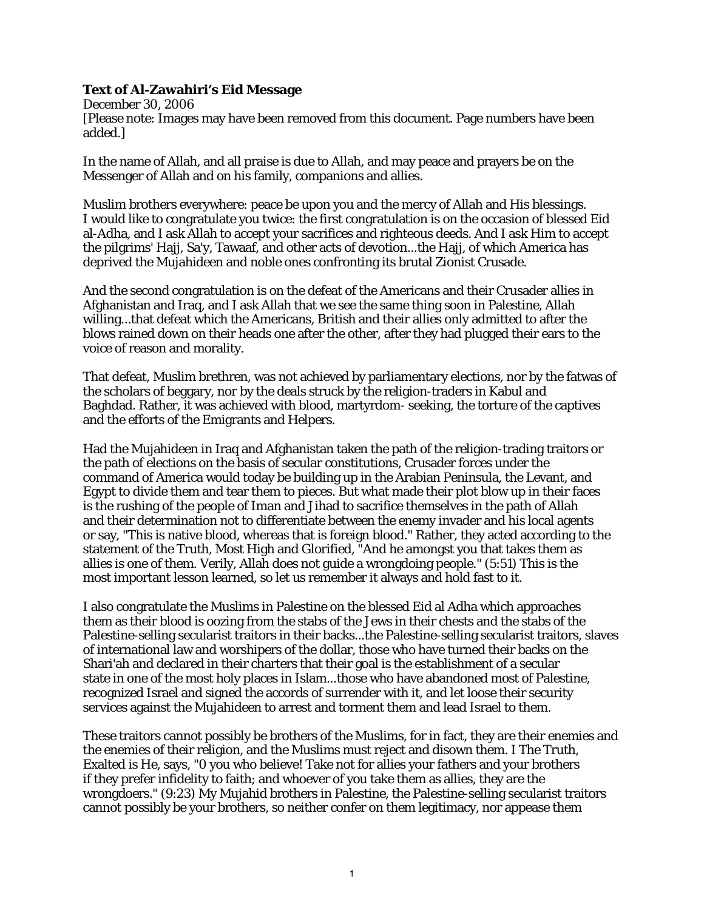## **Text of Al-Zawahiri's Eid Message**

December 30, 2006 [Please note: Images may have been removed from this document. Page numbers have been added.]

In the name of Allah, and all praise is due to Allah, and may peace and prayers be on the Messenger of Allah and on his family, companions and allies.

Muslim brothers everywhere: peace be upon you and the mercy of Allah and His blessings. I would like to congratulate you twice: the first congratulation is on the occasion of blessed Eid al-Adha, and I ask Allah to accept your sacrifices and righteous deeds. And I ask Him to accept the pilgrims' Hajj, Sa'y, Tawaaf, and other acts of devotion...the Hajj, of which America has deprived the Mujahideen and noble ones confronting its brutal Zionist Crusade.

And the second congratulation is on the defeat of the Americans and their Crusader allies in Afghanistan and Iraq, and I ask Allah that we see the same thing soon in Palestine, Allah willing...that defeat which the Americans, British and their allies only admitted to after the blows rained down on their heads one after the other, after they had plugged their ears to the voice of reason and morality.

That defeat, Muslim brethren, was not achieved by parliamentary elections, nor by the fatwas of the scholars of beggary, nor by the deals struck by the religion-traders in Kabul and Baghdad. Rather, it was achieved with blood, martyrdom- seeking, the torture of the captives and the efforts of the Emigrants and Helpers.

Had the Mujahideen in Iraq and Afghanistan taken the path of the religion-trading traitors or the path of elections on the basis of secular constitutions, Crusader forces under the command of America would today be building up in the Arabian Peninsula, the Levant, and Egypt to divide them and tear them to pieces. But what made their plot blow up in their faces is the rushing of the people of Iman and Jihad to sacrifice themselves in the path of Allah and their determination not to differentiate between the enemy invader and his local agents or say, "This is native blood, whereas that is foreign blood." Rather, they acted according to the statement of the Truth, Most High and Glorified, "And he amongst you that takes them as allies is one of them. Verily, Allah does not guide a wrongdoing people." (5:51) This is the most important lesson learned, so let us remember it always and hold fast to it.

I also congratulate the Muslims in Palestine on the blessed Eid al Adha which approaches them as their blood is oozing from the stabs of the Jews in their chests and the stabs of the Palestine-selling secularist traitors in their backs...the Palestine-selling secularist traitors, slaves of international law and worshipers of the dollar, those who have turned their backs on the Shari'ah and declared in their charters that their goal is the establishment of a secular state in one of the most holy places in Islam...those who have abandoned most of Palestine, recognized Israel and signed the accords of surrender with it, and let loose their security services against the Mujahideen to arrest and torment them and lead Israel to them.

These traitors cannot possibly be brothers of the Muslims, for in fact, they are their enemies and the enemies of their religion, and the Muslims must reject and disown them. I The Truth, Exalted is He, says, "0 you who believe! Take not for allies your fathers and your brothers if they prefer infidelity to faith; and whoever of you take them as allies, they are the wrongdoers." (9:23) My Mujahid brothers in Palestine, the Palestine-selling secularist traitors cannot possibly be your brothers, so neither confer on them legitimacy, nor appease them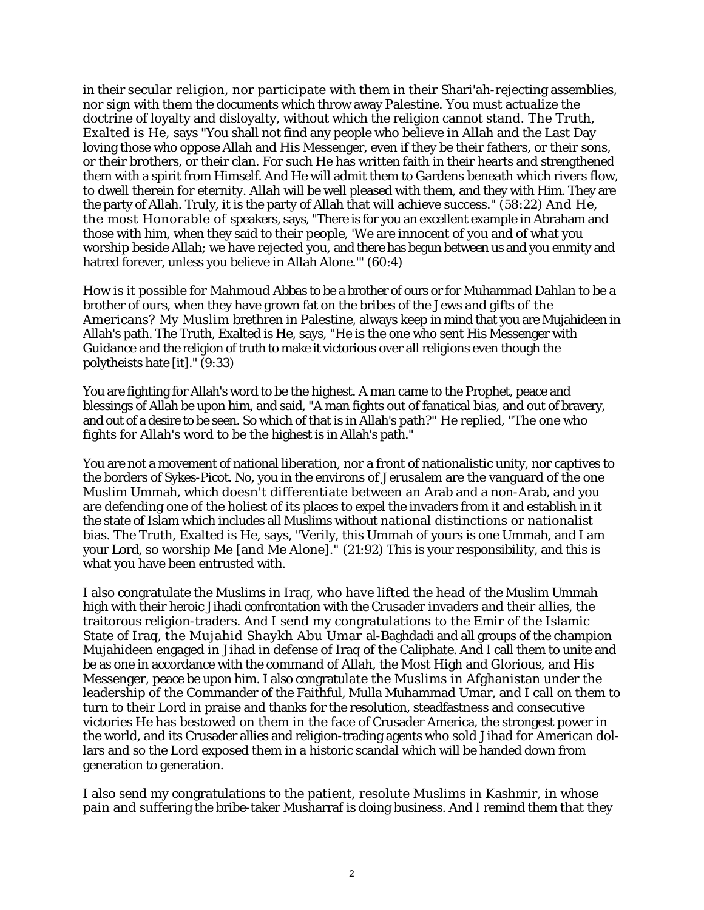in their secular religion, nor participate with them in their Shari'ah-rejecting assemblies, nor sign with them the documents which throw away Palestine. You must actualize the doctrine of loyalty and disloyalty, without which the religion cannot stand. The Truth, Exalted is He, says "You shall not find any people who believe in Allah and the Last Day loving those who oppose Allah and His Messenger, even if they be their fathers, or their sons, or their brothers, or their clan. For such He has written faith in their hearts and strengthened them with a spirit from Himself. And He will admit them to Gardens beneath which rivers flow, to dwell therein for eternity. Allah will be well pleased with them, and they with Him. They are the party of Allah. Truly, it is the party of Allah that will achieve success." (58:22) And He, the most Honorable of speakers, says, "There is for you an excellent example in Abraham and those with him, when they said to their people, 'We are innocent of you and of what you worship beside Allah; we have rejected you, and there has begun between us and you enmity and hatred forever, unless you believe in Allah Alone.'" (60:4)

How is it possible for Mahmoud Abbas to be a brother of ours or for Muhammad Dahlan to be a brother of ours, when they have grown fat on the bribes of the Jews and gifts of the Americans? My Muslim brethren in Palestine, always keep in mind that you are Mujahideen in Allah's path. The Truth, Exalted is He, says, "He is the one who sent His Messenger with Guidance and the religion of truth to make it victorious over all religions even though the polytheists hate [it]." (9:33)

You are fighting for Allah's word to be the highest. A man came to the Prophet, peace and blessings of Allah be upon him, and said, "A man fights out of fanatical bias, and out of bravery, and out of a desire to be seen. So which of that is in Allah's path?" He replied, "The one who fights for Allah's word to be the highest is in Allah's path."

You are not a movement of national liberation, nor a front of nationalistic unity, nor captives to the borders of Sykes-Picot. No, you in the environs of Jerusalem are the vanguard of the one Muslim Ummah, which doesn't differentiate between an Arab and a non-Arab, and you are defending one of the holiest of its places to expel the invaders from it and establish in it the state of Islam which includes all Muslims without national distinctions or nationalist bias. The Truth, Exalted is He, says, "Verily, this Ummah of yours is one Ummah, and I am your Lord, so worship Me [and Me Alone]." (21:92) This is your responsibility, and this is what you have been entrusted with.

I also congratulate the Muslims in Iraq, who have lifted the head of the Muslim Ummah high with their heroic Jihadi confrontation with the Crusader invaders and their allies, the traitorous religion-traders. And I send my congratulations to the Emir of the Islamic State of Iraq, the Mujahid Shaykh Abu Umar al-Baghdadi and all groups of the champion Mujahideen engaged in Jihad in defense of Iraq of the Caliphate. And I call them to unite and be as one in accordance with the command of Allah, the Most High and Glorious, and His Messenger, peace be upon him. I also congratulate the Muslims in Afghanistan under the leadership of the Commander of the Faithful, Mulla Muhammad Umar, and I call on them to turn to their Lord in praise and thanks for the resolution, steadfastness and consecutive victories He has bestowed on them in the face of Crusader America, the strongest power in the world, and its Crusader allies and religion-trading agents who sold Jihad for American dollars and so the Lord exposed them in a historic scandal which will be handed down from generation to generation.

I also send my congratulations to the patient, resolute Muslims in Kashmir, in whose pain and suffering the bribe-taker Musharraf is doing business. And I remind them that they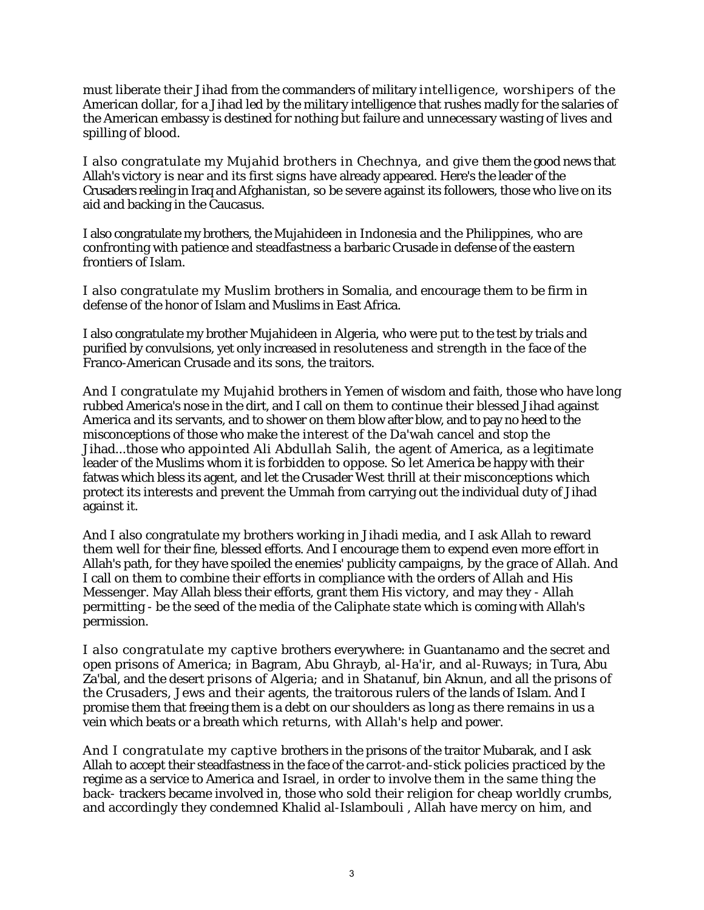must liberate their Jihad from the commanders of military intelligence, worshipers of the American dollar, for a Jihad led by the military intelligence that rushes madly for the salaries of the American embassy is destined for nothing but failure and unnecessary wasting of lives and spilling of blood.

I also congratulate my Mujahid brothers in Chechnya, and give them the good news that Allah's victory is near and its first signs have already appeared. Here's the leader of the Crusaders reeling in Iraq and Afghanistan, so be severe against its followers, those who live on its aid and backing in the Caucasus.

I also congratulate my brothers, the Mujahideen in Indonesia and the Philippines, who are confronting with patience and steadfastness a barbaric Crusade in defense of the eastern frontiers of Islam.

I also congratulate my Muslim brothers in Somalia, and encourage them to be firm in defense of the honor of Islam and Muslims in East Africa.

I also congratulate my brother Mujahideen in Algeria, who were put to the test by trials and purified by convulsions, yet only increased in resoluteness and strength in the face of the Franco-American Crusade and its sons, the traitors.

And I congratulate my Mujahid brothers in Yemen of wisdom and faith, those who have long rubbed America's nose in the dirt, and I call on them to continue their blessed Jihad against America and its servants, and to shower on them blow after blow, and to pay no heed to the misconceptions of those who make the interest of the Da'wah cancel and stop the Jihad...those who appointed Ali Abdullah Salih, the agent of America, as a legitimate leader of the Muslims whom it is forbidden to oppose. So let America be happy with their fatwas which bless its agent, and let the Crusader West thrill at their misconceptions which protect its interests and prevent the Ummah from carrying out the individual duty of Jihad against it.

And I also congratulate my brothers working in Jihadi media, and I ask Allah to reward them well for their fine, blessed efforts. And I encourage them to expend even more effort in Allah's path, for they have spoiled the enemies' publicity campaigns, by the grace of Allah. And I call on them to combine their efforts in compliance with the orders of Allah and His Messenger. May Allah bless their efforts, grant them His victory, and may they - Allah permitting - be the seed of the media of the Caliphate state which is coming with Allah's permission.

I also congratulate my captive brothers everywhere: in Guantanamo and the secret and open prisons of America; in Bagram, Abu Ghrayb, al-Ha'ir, and al-Ruways; in Tura, Abu Za'bal, and the desert prisons of Algeria; and in Shatanuf, bin Aknun, and all the prisons of the Crusaders, Jews and their agents, the traitorous rulers of the lands of Islam. And I promise them that freeing them is a debt on our shoulders as long as there remains in us a vein which beats or a breath which returns, with Allah's help and power.

And I congratulate my captive brothers in the prisons of the traitor Mubarak, and I ask Allah to accept their steadfastness in the face of the carrot-and-stick policies practiced by the regime as a service to America and Israel, in order to involve them in the same thing the back- trackers became involved in, those who sold their religion for cheap worldly crumbs, and accordingly they condemned Khalid al-Islambouli , Allah have mercy on him, and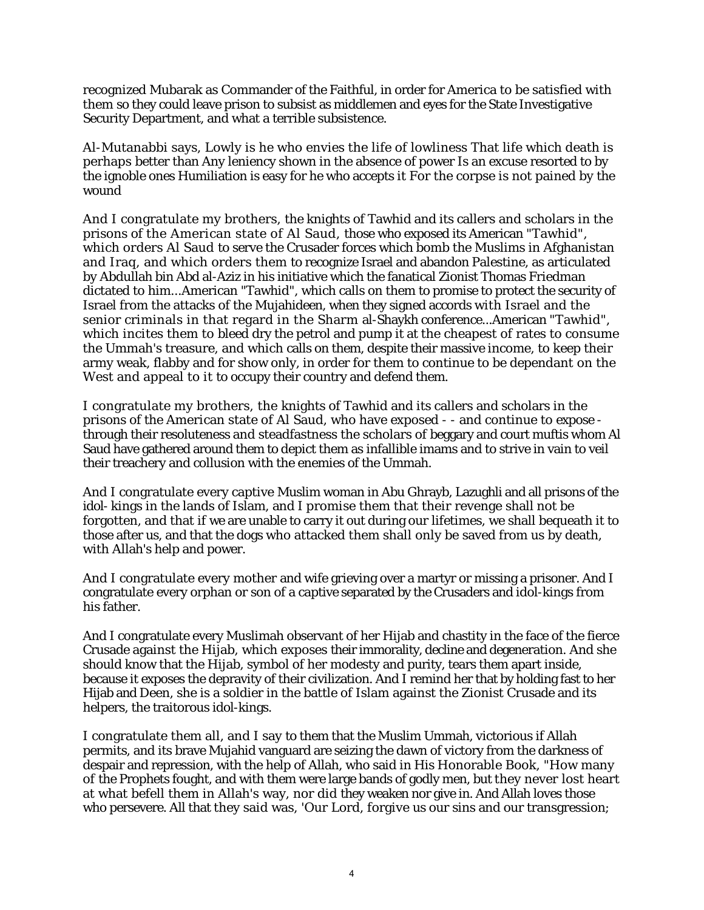recognized Mubarak as Commander of the Faithful, in order for America to be satisfied with them so they could leave prison to subsist as middlemen and eyes for the State Investigative Security Department, and what a terrible subsistence.

Al-Mutanabbi says, Lowly is he who envies the life of lowliness That life which death is perhaps better than Any leniency shown in the absence of power Is an excuse resorted to by the ignoble ones Humiliation is easy for he who accepts it For the corpse is not pained by the wound

And I congratulate my brothers, the knights of Tawhid and its callers and scholars in the prisons of the American state of Al Saud, those who exposed its American "Tawhid", which orders Al Saud to serve the Crusader forces which bomb the Muslims in Afghanistan and Iraq, and which orders them to recognize Israel and abandon Palestine, as articulated by Abdullah bin Abd al-Aziz in his initiative which the fanatical Zionist Thomas Friedman dictated to him...American "Tawhid", which calls on them to promise to protect the security of Israel from the attacks of the Mujahideen, when they signed accords with Israel and the senior criminals in that regard in the Sharm al-Shaykh conference...American "Tawhid", which incites them to bleed dry the petrol and pump it at the cheapest of rates to consume the Ummah's treasure, and which calls on them, despite their massive income, to keep their army weak, flabby and for show only, in order for them to continue to be dependant on the West and appeal to it to occupy their country and defend them.

I congratulate my brothers, the knights of Tawhid and its callers and scholars in the prisons of the American state of Al Saud, who have exposed - - and continue to expose through their resoluteness and steadfastness the scholars of beggary and court muftis whom Al Saud have gathered around them to depict them as infallible imams and to strive in vain to veil their treachery and collusion with the enemies of the Ummah.

And I congratulate every captive Muslim woman in Abu Ghrayb, Lazughli and all prisons of the idol- kings in the lands of Islam, and I promise them that their revenge shall not be forgotten, and that if we are unable to carry it out during our lifetimes, we shall bequeath it to those after us, and that the dogs who attacked them shall only be saved from us by death, with Allah's help and power.

And I congratulate every mother and wife grieving over a martyr or missing a prisoner. And I congratulate every orphan or son of a captive separated by the Crusaders and idol-kings from his father.

And I congratulate every Muslimah observant of her Hijab and chastity in the face of the fierce Crusade against the Hijab, which exposes their immorality, decline and degeneration. And she should know that the Hijab, symbol of her modesty and purity, tears them apart inside, because it exposes the depravity of their civilization. And I remind her that by holding fast to her Hijab and Deen, she is a soldier in the battle of Islam against the Zionist Crusade and its helpers, the traitorous idol-kings.

I congratulate them all, and I say to them that the Muslim Ummah, victorious if Allah permits, and its brave Mujahid vanguard are seizing the dawn of victory from the darkness of despair and repression, with the help of Allah, who said in His Honorable Book, "How many of the Prophets fought, and with them were large bands of godly men, but they never lost heart at what befell them in Allah's way, nor did they weaken nor give in. And Allah loves those who persevere. All that they said was, 'Our Lord, forgive us our sins and our transgression;